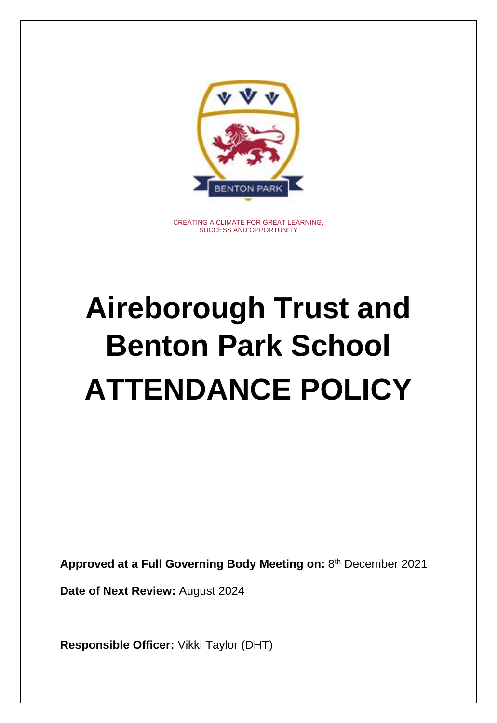

CREATING A CLIMATE FOR GREAT LEARNING, SUCCESS AND OPPORTUNITY

# **Aireborough Trust and Benton Park School ATTENDANCE POLICY**

**Approved at a Full Governing Body Meeting on:** 8 th December 2021

**Date of Next Review:** August 2024

**Responsible Officer:** Vikki Taylor (DHT)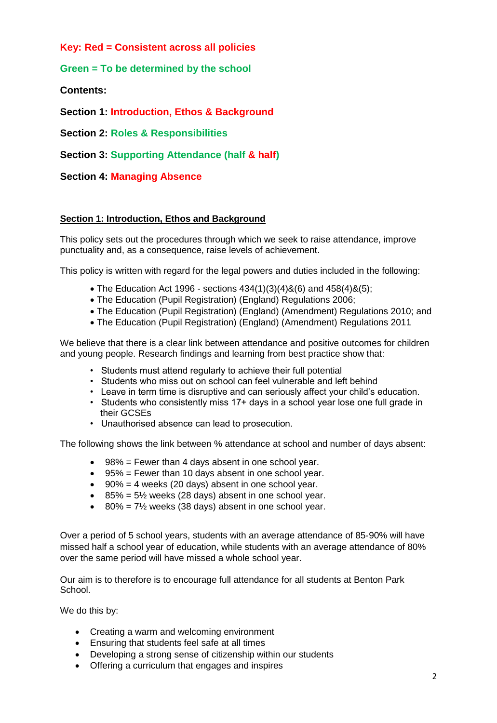**Key: Red = Consistent across all policies**

**Green = To be determined by the school**

**Contents:** 

**Section 1: Introduction, Ethos & Background**

**Section 2: Roles & Responsibilities**

**Section 3: Supporting Attendance (half & half)**

**Section 4: Managing Absence**

# **Section 1: Introduction, Ethos and Background**

This policy sets out the procedures through which we seek to raise attendance, improve punctuality and, as a consequence, raise levels of achievement.

This policy is written with regard for the legal powers and duties included in the following:

- The Education Act 1996 sections  $434(1)(3)(4)8(6)$  and  $458(4)8(5)$ ;
- The Education (Pupil Registration) (England) Regulations 2006;
- The Education (Pupil Registration) (England) (Amendment) Regulations 2010; and
- The Education (Pupil Registration) (England) (Amendment) Regulations 2011

We believe that there is a clear link between attendance and positive outcomes for children and young people. Research findings and learning from best practice show that:

- Students must attend regularly to achieve their full potential
- Students who miss out on school can feel vulnerable and left behind
- Leave in term time is disruptive and can seriously affect your child's education.
- Students who consistently miss 17+ days in a school year lose one full grade in their GCSEs
- Unauthorised absence can lead to prosecution.

The following shows the link between % attendance at school and number of days absent:

- 98% = Fewer than 4 days absent in one school year.
- 95% = Fewer than 10 days absent in one school year.
- $\bullet$  90% = 4 weeks (20 days) absent in one school year.
- $\cdot$  85% = 5½ weeks (28 days) absent in one school year.
- $\cdot$  80% = 7½ weeks (38 days) absent in one school year.

Over a period of 5 school years, students with an average attendance of 85‐90% will have missed half a school year of education, while students with an average attendance of 80% over the same period will have missed a whole school year.

Our aim is to therefore is to encourage full attendance for all students at Benton Park School.

We do this by:

- Creating a warm and welcoming environment
- Ensuring that students feel safe at all times
- Developing a strong sense of citizenship within our students
- Offering a curriculum that engages and inspires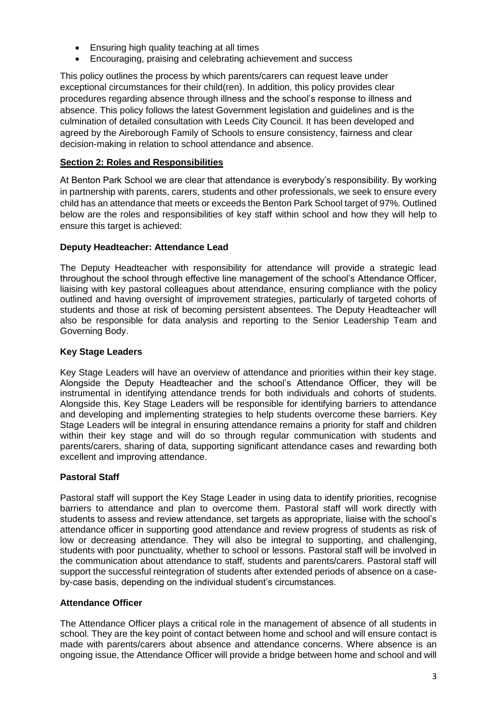- Ensuring high quality teaching at all times
- Encouraging, praising and celebrating achievement and success

This policy outlines the process by which parents/carers can request leave under exceptional circumstances for their child(ren). In addition, this policy provides clear procedures regarding absence through illness and the school's response to illness and absence. This policy follows the latest Government legislation and guidelines and is the culmination of detailed consultation with Leeds City Council. It has been developed and agreed by the Aireborough Family of Schools to ensure consistency, fairness and clear decision-making in relation to school attendance and absence.

# **Section 2: Roles and Responsibilities**

At Benton Park School we are clear that attendance is everybody's responsibility. By working in partnership with parents, carers, students and other professionals, we seek to ensure every child has an attendance that meets or exceeds the Benton Park School target of 97%. Outlined below are the roles and responsibilities of key staff within school and how they will help to ensure this target is achieved:

## **Deputy Headteacher: Attendance Lead**

The Deputy Headteacher with responsibility for attendance will provide a strategic lead throughout the school through effective line management of the school's Attendance Officer, liaising with key pastoral colleagues about attendance, ensuring compliance with the policy outlined and having oversight of improvement strategies, particularly of targeted cohorts of students and those at risk of becoming persistent absentees. The Deputy Headteacher will also be responsible for data analysis and reporting to the Senior Leadership Team and Governing Body.

## **Key Stage Leaders**

Key Stage Leaders will have an overview of attendance and priorities within their key stage. Alongside the Deputy Headteacher and the school's Attendance Officer, they will be instrumental in identifying attendance trends for both individuals and cohorts of students. Alongside this, Key Stage Leaders will be responsible for identifying barriers to attendance and developing and implementing strategies to help students overcome these barriers. Key Stage Leaders will be integral in ensuring attendance remains a priority for staff and children within their key stage and will do so through regular communication with students and parents/carers, sharing of data, supporting significant attendance cases and rewarding both excellent and improving attendance.

# **Pastoral Staff**

Pastoral staff will support the Key Stage Leader in using data to identify priorities, recognise barriers to attendance and plan to overcome them. Pastoral staff will work directly with students to assess and review attendance, set targets as appropriate, liaise with the school's attendance officer in supporting good attendance and review progress of students as risk of low or decreasing attendance. They will also be integral to supporting, and challenging, students with poor punctuality, whether to school or lessons. Pastoral staff will be involved in the communication about attendance to staff, students and parents/carers. Pastoral staff will support the successful reintegration of students after extended periods of absence on a caseby-case basis, depending on the individual student's circumstances.

#### **Attendance Officer**

The Attendance Officer plays a critical role in the management of absence of all students in school. They are the key point of contact between home and school and will ensure contact is made with parents/carers about absence and attendance concerns. Where absence is an ongoing issue, the Attendance Officer will provide a bridge between home and school and will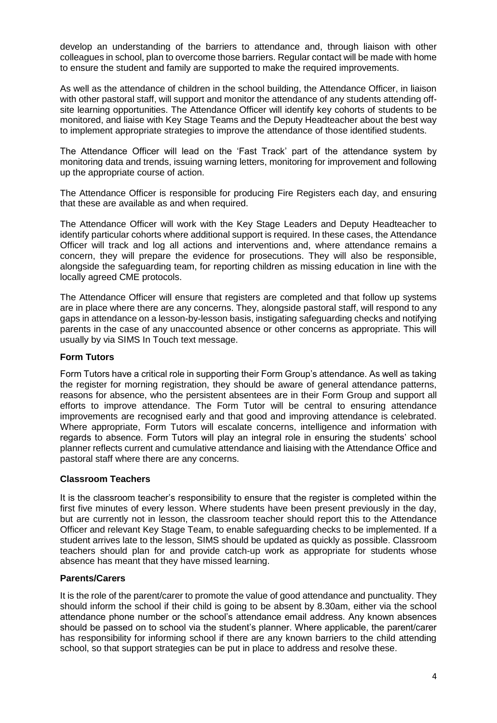develop an understanding of the barriers to attendance and, through liaison with other colleagues in school, plan to overcome those barriers. Regular contact will be made with home to ensure the student and family are supported to make the required improvements.

As well as the attendance of children in the school building, the Attendance Officer, in liaison with other pastoral staff, will support and monitor the attendance of any students attending offsite learning opportunities. The Attendance Officer will identify key cohorts of students to be monitored, and liaise with Key Stage Teams and the Deputy Headteacher about the best way to implement appropriate strategies to improve the attendance of those identified students.

The Attendance Officer will lead on the 'Fast Track' part of the attendance system by monitoring data and trends, issuing warning letters, monitoring for improvement and following up the appropriate course of action.

The Attendance Officer is responsible for producing Fire Registers each day, and ensuring that these are available as and when required.

The Attendance Officer will work with the Key Stage Leaders and Deputy Headteacher to identify particular cohorts where additional support is required. In these cases, the Attendance Officer will track and log all actions and interventions and, where attendance remains a concern, they will prepare the evidence for prosecutions. They will also be responsible, alongside the safeguarding team, for reporting children as missing education in line with the locally agreed CME protocols.

The Attendance Officer will ensure that registers are completed and that follow up systems are in place where there are any concerns. They, alongside pastoral staff, will respond to any gaps in attendance on a lesson-by-lesson basis, instigating safeguarding checks and notifying parents in the case of any unaccounted absence or other concerns as appropriate. This will usually by via SIMS In Touch text message.

# **Form Tutors**

Form Tutors have a critical role in supporting their Form Group's attendance. As well as taking the register for morning registration, they should be aware of general attendance patterns, reasons for absence, who the persistent absentees are in their Form Group and support all efforts to improve attendance. The Form Tutor will be central to ensuring attendance improvements are recognised early and that good and improving attendance is celebrated. Where appropriate, Form Tutors will escalate concerns, intelligence and information with regards to absence. Form Tutors will play an integral role in ensuring the students' school planner reflects current and cumulative attendance and liaising with the Attendance Office and pastoral staff where there are any concerns.

#### **Classroom Teachers**

It is the classroom teacher's responsibility to ensure that the register is completed within the first five minutes of every lesson. Where students have been present previously in the day, but are currently not in lesson, the classroom teacher should report this to the Attendance Officer and relevant Key Stage Team, to enable safeguarding checks to be implemented. If a student arrives late to the lesson, SIMS should be updated as quickly as possible. Classroom teachers should plan for and provide catch-up work as appropriate for students whose absence has meant that they have missed learning.

#### **Parents/Carers**

It is the role of the parent/carer to promote the value of good attendance and punctuality. They should inform the school if their child is going to be absent by 8.30am, either via the school attendance phone number or the school's attendance email address. Any known absences should be passed on to school via the student's planner. Where applicable, the parent/carer has responsibility for informing school if there are any known barriers to the child attending school, so that support strategies can be put in place to address and resolve these.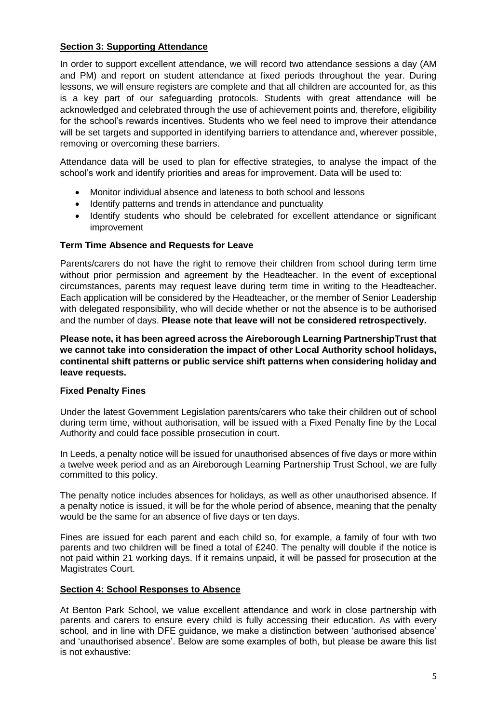# **Section 3: Supporting Attendance**

In order to support excellent attendance, we will record two attendance sessions a day (AM and PM) and report on student attendance at fixed periods throughout the year. During lessons, we will ensure registers are complete and that all children are accounted for, as this is a key part of our safeguarding protocols. Students with great attendance will be acknowledged and celebrated through the use of achievement points and, therefore, eligibility for the school's rewards incentives. Students who we feel need to improve their attendance will be set targets and supported in identifying barriers to attendance and, wherever possible, removing or overcoming these barriers.

Attendance data will be used to plan for effective strategies, to analyse the impact of the school's work and identify priorities and areas for improvement. Data will be used to:

- Monitor individual absence and lateness to both school and lessons
- Identify patterns and trends in attendance and punctuality
- Identify students who should be celebrated for excellent attendance or significant improvement

#### **Term Time Absence and Requests for Leave**

Parents/carers do not have the right to remove their children from school during term time without prior permission and agreement by the Headteacher. In the event of exceptional circumstances, parents may request leave during term time in writing to the Headteacher. Each application will be considered by the Headteacher, or the member of Senior Leadership with delegated responsibility, who will decide whether or not the absence is to be authorised and the number of days. **Please note that leave will not be considered retrospectively.**

**Please note, it has been agreed across the Aireborough Learning PartnershipTrust that we cannot take into consideration the impact of other Local Authority school holidays, continental shift patterns or public service shift patterns when considering holiday and leave requests.** 

#### **Fixed Penalty Fines**

Under the latest Government Legislation parents/carers who take their children out of school during term time, without authorisation, will be issued with a Fixed Penalty fine by the Local Authority and could face possible prosecution in court.

In Leeds, a penalty notice will be issued for unauthorised absences of five days or more within a twelve week period and as an Aireborough Learning Partnership Trust School, we are fully committed to this policy.

The penalty notice includes absences for holidays, as well as other unauthorised absence. If a penalty notice is issued, it will be for the whole period of absence, meaning that the penalty would be the same for an absence of five days or ten days.

Fines are issued for each parent and each child so, for example, a family of four with two parents and two children will be fined a total of £240. The penalty will double if the notice is not paid within 21 working days. If it remains unpaid, it will be passed for prosecution at the Magistrates Court.

#### **Section 4: School Responses to Absence**

At Benton Park School, we value excellent attendance and work in close partnership with parents and carers to ensure every child is fully accessing their education. As with every school, and in line with DFE guidance, we make a distinction between 'authorised absence' and 'unauthorised absence'. Below are some examples of both, but please be aware this list is not exhaustive: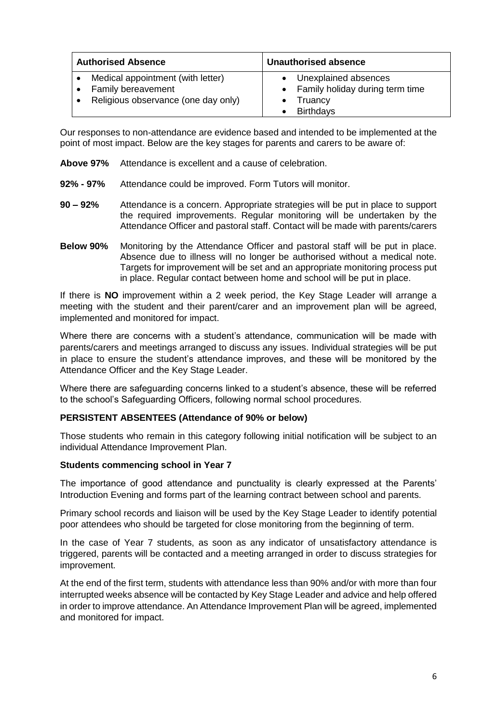| <b>Authorised Absence</b>                                                                      | <b>Unauthorised absence</b>                                                                         |
|------------------------------------------------------------------------------------------------|-----------------------------------------------------------------------------------------------------|
| Medical appointment (with letter)<br>Family bereavement<br>Religious observance (one day only) | Unexplained absences<br>Family holiday during term time<br>$\bullet$<br>Truancy<br><b>Birthdays</b> |

Our responses to non-attendance are evidence based and intended to be implemented at the point of most impact. Below are the key stages for parents and carers to be aware of:

- **Above 97%** Attendance is excellent and a cause of celebration.
- **92% - 97%** Attendance could be improved. Form Tutors will monitor.
- **90 – 92%** Attendance is a concern. Appropriate strategies will be put in place to support the required improvements. Regular monitoring will be undertaken by the Attendance Officer and pastoral staff. Contact will be made with parents/carers
- **Below 90%** Monitoring by the Attendance Officer and pastoral staff will be put in place. Absence due to illness will no longer be authorised without a medical note. Targets for improvement will be set and an appropriate monitoring process put in place. Regular contact between home and school will be put in place.

If there is **NO** improvement within a 2 week period, the Key Stage Leader will arrange a meeting with the student and their parent/carer and an improvement plan will be agreed, implemented and monitored for impact.

Where there are concerns with a student's attendance, communication will be made with parents/carers and meetings arranged to discuss any issues. Individual strategies will be put in place to ensure the student's attendance improves, and these will be monitored by the Attendance Officer and the Key Stage Leader.

Where there are safeguarding concerns linked to a student's absence, these will be referred to the school's Safeguarding Officers, following normal school procedures.

# **PERSISTENT ABSENTEES (Attendance of 90% or below)**

Those students who remain in this category following initial notification will be subject to an individual Attendance Improvement Plan.

#### **Students commencing school in Year 7**

The importance of good attendance and punctuality is clearly expressed at the Parents' Introduction Evening and forms part of the learning contract between school and parents.

Primary school records and liaison will be used by the Key Stage Leader to identify potential poor attendees who should be targeted for close monitoring from the beginning of term.

In the case of Year 7 students, as soon as any indicator of unsatisfactory attendance is triggered, parents will be contacted and a meeting arranged in order to discuss strategies for improvement.

At the end of the first term, students with attendance less than 90% and/or with more than four interrupted weeks absence will be contacted by Key Stage Leader and advice and help offered in order to improve attendance. An Attendance Improvement Plan will be agreed, implemented and monitored for impact.